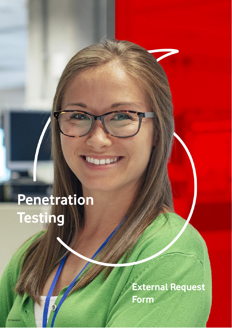# **Penetration Testing**

**External Request Form**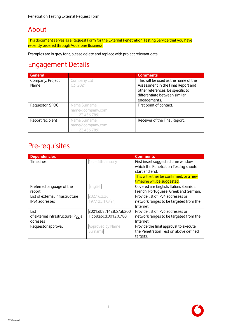## About

This document serves as a Request Form for the External Penetration Testing Service that you have recently ordered through Vodafone Business.

Examples are in grey font, please delete and replace with project relevant data.

### Engagement Details

| <b>General</b>           |                                                      | <b>Comments</b>                                                                                                |
|--------------------------|------------------------------------------------------|----------------------------------------------------------------------------------------------------------------|
| Company, Project<br>Name | Company Ltd<br>Q3, 2021                              | This will be used as the name of the<br>Assessment in the Final Report and<br>other references. Be specific to |
|                          |                                                      | differentiate between similar<br>engagements.                                                                  |
| Requestor, SPOC          | Name Surname<br>name@company.com<br>+ 1 123 456 789  | First point of contact.                                                                                        |
| Report recipient         | Name Surname,<br>name@company.com<br>+ 1 123 456 789 | Receiver of the Final Report.                                                                                  |

#### Pre-requisites

| <b>Dependencies</b>               |                        | <b>Comments</b>                         |
|-----------------------------------|------------------------|-----------------------------------------|
| <b>Timelines</b>                  | 1st - 5th January      | First insert suggested time window in   |
|                                   |                        | which the Penetration Testing should    |
|                                   |                        | start and end.                          |
|                                   |                        | This will either be confirmed, or a new |
|                                   |                        | timeline will be suggested.             |
| Preferred language of the         | English                | Covered are English, Italian, Spanish,  |
| report                            |                        | French, Portuguese, Greek and German.   |
| List of external infrastructure   | 202.16.2.26            | Provide list of IPv4 addresses or       |
| IPv4 addresses                    | 197.125.1.0/24         | network ranges to be targeted from the  |
|                                   |                        | Internet.                               |
| List                              | 2001:db8::1428:57ab200 | Provide list of IPv6 addresses or       |
| of external infrastructure IPv6 a | 1:db8:abcd:0012::0/80  | network ranges to be targeted from the  |
| ddresses                          |                        | Internet.                               |
| Requestor approval                | Approved by Name       | Provide the final approval to execute   |
|                                   | Surname                | the Penetration Test on above defined   |
|                                   |                        | targets.                                |